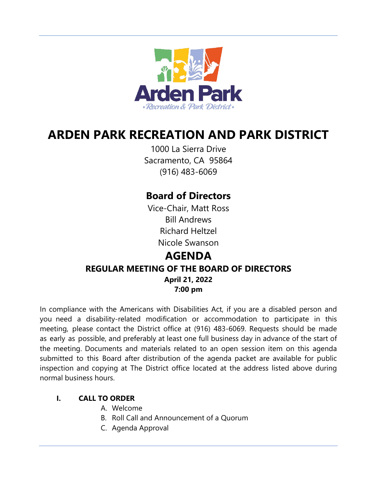

# **ARDEN PARK RECREATION AND PARK DISTRICT**

1000 La Sierra Drive Sacramento, CA 95864 (916) 483-6069

## **Board of Directors**

Vice-Chair, Matt Ross Bill Andrews Richard Heltzel Nicole Swanson

### **AGENDA REGULAR MEETING OF THE BOARD OF DIRECTORS April 21, 2022 7:00 pm**

In compliance with the Americans with Disabilities Act, if you are a disabled person and you need a disability-related modification or accommodation to participate in this meeting, please contact the District office at (916) 483-6069. Requests should be made as early as possible, and preferably at least one full business day in advance of the start of the meeting. Documents and materials related to an open session item on this agenda submitted to this Board after distribution of the agenda packet are available for public inspection and copying at The District office located at the address listed above during normal business hours.

#### **I. CALL TO ORDER**

- A. Welcome
- B. Roll Call and Announcement of a Quorum
- C. Agenda Approval